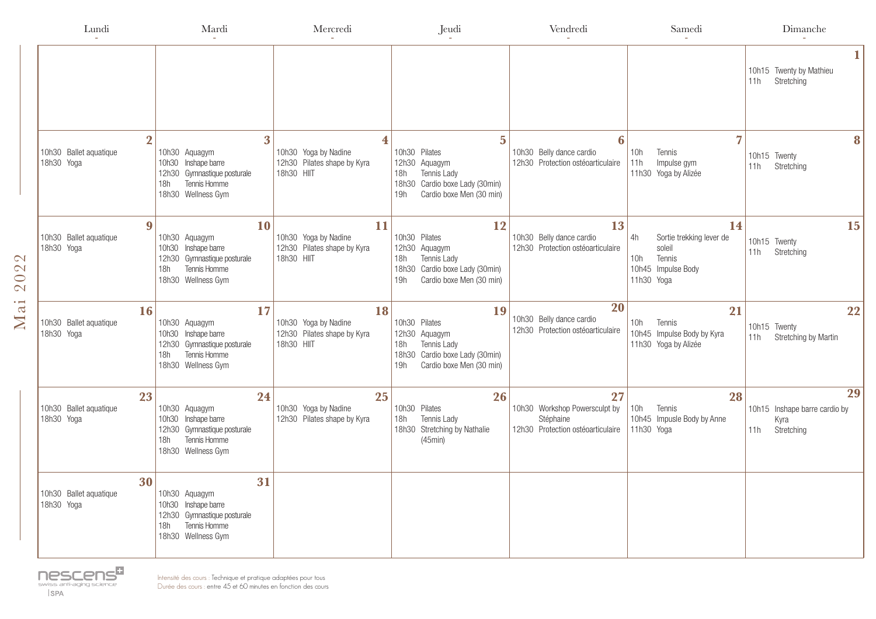| Lundi                                                  | Mardi                                                                                                                         | Mercredi                                                                | Jeudi                                                                                                                                           | Vendredi                                                                              | Samedi                                                                                              | Dimanche                                                         |
|--------------------------------------------------------|-------------------------------------------------------------------------------------------------------------------------------|-------------------------------------------------------------------------|-------------------------------------------------------------------------------------------------------------------------------------------------|---------------------------------------------------------------------------------------|-----------------------------------------------------------------------------------------------------|------------------------------------------------------------------|
|                                                        |                                                                                                                               |                                                                         |                                                                                                                                                 |                                                                                       |                                                                                                     | 1<br>10h15 Twenty by Mathieu<br>Stretching<br>11h                |
| $\overline{2}$<br>10h30 Ballet aquatique<br>18h30 Yoga | 3<br>10h30 Aquagym<br>10h30 Inshape barre<br>12h30 Gymnastique posturale<br>Tennis Homme<br>18h<br>18h30 Wellness Gym         | 4<br>10h30 Yoga by Nadine<br>12h30 Pilates shape by Kyra<br>18h30 HIIT  | $5\phantom{.0}$<br>10h30 Pilates<br>12h30 Aquagym<br>18h<br>Tennis Lady<br>Cardio boxe Lady (30min)<br>18h30<br>19h<br>Cardio boxe Men (30 min) | 6<br>10h30 Belly dance cardio<br>12h30 Protection ostéoarticulaire                    | 7<br>10h<br>Tennis<br>11h<br>Impulse gym<br>11h30 Yoga by Alizée                                    | 8<br>10h15 Twenty<br>Stretching<br>11h                           |
| 9<br>10h30 Ballet aquatique<br>18h30 Yoga              | <b>10</b><br>10h30 Aquagym<br>10h30 Inshape barre<br>12h30 Gymnastique posturale<br>Tennis Homme<br>18h<br>18h30 Wellness Gym | 11<br>10h30 Yoga by Nadine<br>12h30 Pilates shape by Kyra<br>18h30 HIIT | 12<br>10h30 Pilates<br>12h30 Aquaqym<br>18h<br>Tennis Lady<br>18h30 Cardio boxe Lady (30min)<br>19h<br>Cardio boxe Men (30 min)                 | 13<br>10h30 Belly dance cardio<br>12h30 Protection ostéoarticulaire                   | 14<br>4h<br>Sortie trekking lever de<br>soleil<br>10h<br>Tennis<br>10h45 Impulse Body<br>11h30 Yoga | 15<br>10h15 Twenty<br>11h<br>Stretching                          |
| 16<br>10h30 Ballet aquatique<br>18h30 Yoga             | 17<br>10h30 Aquagym<br>10h30 Inshape barre<br>12h30 Gymnastique posturale<br>Tennis Homme<br>18h<br>18h30 Wellness Gym        | 18<br>10h30 Yoga by Nadine<br>12h30 Pilates shape by Kyra<br>18h30 HIIT | 19<br>10h30 Pilates<br>12h30 Aquagym<br>18h<br>Tennis Lady<br>18h30 Cardio boxe Lady (30min)<br>19h<br>Cardio boxe Men (30 min)                 | 20<br>10h30 Belly dance cardio<br>12h30 Protection ostéoarticulaire                   | 21<br>10h<br>Tennis<br>10h45 Impulse Body by Kyra<br>11h30 Yoga by Alizée                           | 22<br>10h15 Twenty<br>Stretching by Martin<br>11h                |
| 23<br>10h30 Ballet aquatique<br>18h30 Yoga             | 24<br>10h30 Aquagym<br>10h30 Inshape barre<br>12h30 Gymnastique posturale<br>Tennis Homme<br>18h<br>18h30 Wellness Gym        | 25<br>10h30 Yoga by Nadine<br>12h30 Pilates shape by Kyra               | 26<br>10h30 Pilates<br>18h<br>Tennis Lady<br>18h30 Stretching by Nathalie<br>(45min)                                                            | 27<br>10h30 Workshop Powersculpt by<br>Stéphaine<br>12h30 Protection ostéoarticulaire | 28<br>10h<br>Tennis<br>10h45 Impusle Body by Anne<br>11h30 Yoga                                     | 29<br>10h15 Inshape barre cardio by<br>Kyra<br>11h<br>Stretching |
| 30<br>10h30 Ballet aquatique<br>18h30 Yoga             | 31<br>10h30 Aquagym<br>10h30 Inshape barre<br>12h30 Gymnastique posturale<br>Tennis Homme<br>18h<br>18h30 Wellness Gym        |                                                                         |                                                                                                                                                 |                                                                                       |                                                                                                     |                                                                  |